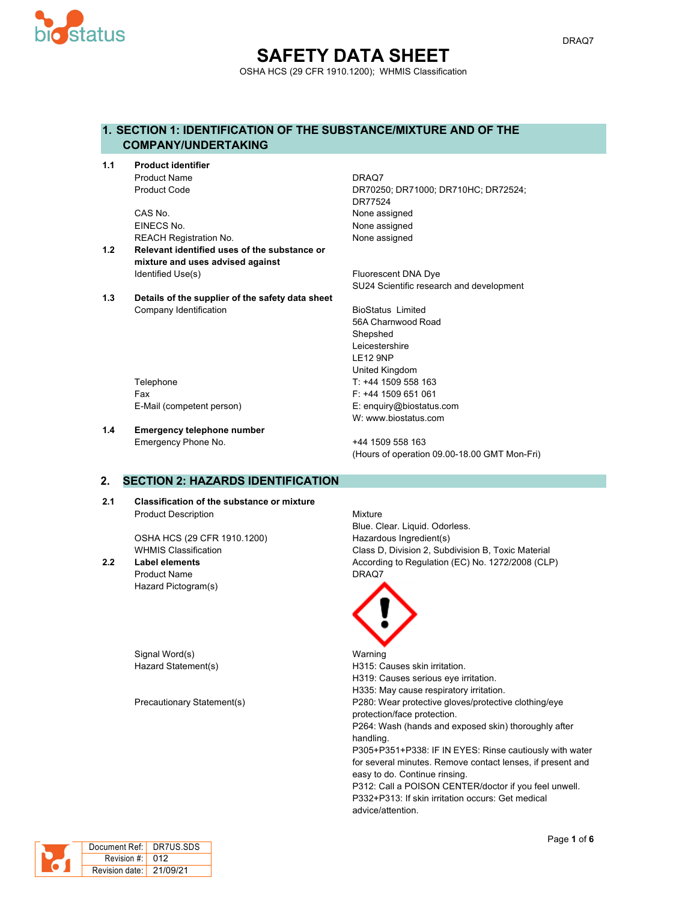

## **SAFETY DATA SHEET** OSHA HCS (29 CFR 1910.1200); WHMIS Classification

#### **1. SECTION 1: IDENTIFICATION OF THE SUBSTANCE/MIXTURE AND OF THE COMPANY/UNDERTAKING**

**1.1 Product identifier** Product Name DRAQ7

> CAS No. 2008 2012 12:30 None assigned EINECS No. None assigned REACH Registration No. None assigned

- **1.2 Relevant identified uses of the substance or mixture and uses advised against** Identified Use(s) The Contract of the Contract of The Fluorescent DNA Dye
- **1.3 Details of the supplier of the safety data sheet** Company Identification **BioStatus** Limited

Product Code DR70250; DR71000; DR710HC; DR72524; DR77524

SU24 Scientific research and development

56A Charnwood Road Shepshed Leicestershire LE12 9NP United Kingdom Telephone Telephone T: +44 1509 558 163 Fax F: +44 1509 651 061 W: www.biostatus.com

E-Mail (competent person) E: enquiry@biostatus.com

**1.4 Emergency telephone number** Emergency Phone No. 444 1509 558 163

(Hours of operation 09.00-18.00 GMT Mon-Fri)

#### **2. SECTION 2: HAZARDS IDENTIFICATION**

**2.1 Classification of the substance or mixture** Product Description **Mixture** 

OSHA HCS (29 CFR 1910.1200) Hazardous Ingredient(s)

Product Name DRAQ7 Hazard Pictogram(s)

Signal Word(s) National Warning

Blue. Clear. Liquid. Odorless. WHMIS Classification **Class D, Division 2, Subdivision B, Toxic Material 2.2 Label elements** According to Regulation (EC) No. 1272/2008 (CLP)



Hazard Statement(s) The Statement Statement Statement Statement Statement Statement Statement Statement Statement Statement Statement Statement Statement Statement Statement Statement Statement Statement Statement Statemen H319: Causes serious eye irritation. H335: May cause respiratory irritation. Precautionary Statement(s) P280: Wear protective gloves/protective clothing/eye protection/face protection. P264: Wash (hands and exposed skin) thoroughly after handling. P305+P351+P338: IF IN EYES: Rinse cautiously with water for several minutes. Remove contact lenses, if present and easy to do. Continue rinsing. P312: Call a POISON CENTER/doctor if you feel unwell. P332+P313: If skin irritation occurs: Get medical advice/attention.

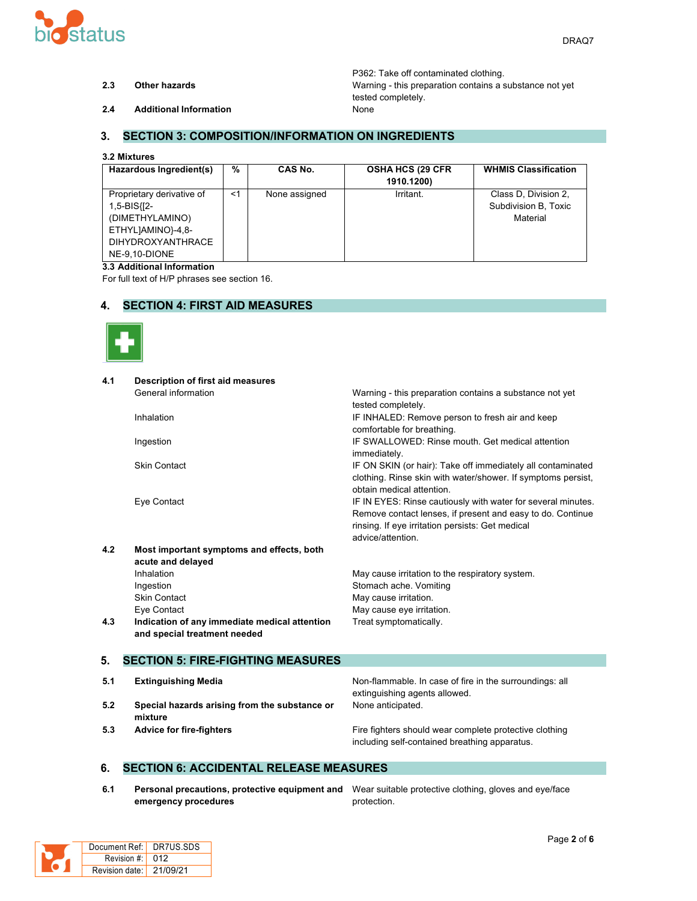

P362: Take off contaminated clothing. **2.3 Other hazards** Warning - this preparation contains a substance not yet tested completely.

**2.4 Additional Information** None

#### **3. SECTION 3: COMPOSITION/INFORMATION ON INGREDIENTS**

#### **3.2 Mixtures**

| Hazardous Ingredient(s)                                                                                                | $\frac{0}{0}$ | CAS No.       | <b>OSHA HCS (29 CFR)</b><br>1910.1200) | <b>WHMIS Classification</b>                              |
|------------------------------------------------------------------------------------------------------------------------|---------------|---------------|----------------------------------------|----------------------------------------------------------|
| Proprietary derivative of<br>1,5-BIS{[2-<br>(DIMETHYLAMINO)<br>ETHYLJAMINO}-4,8-<br>DIHYDROXYANTHRACE<br>NE-9.10-DIONE | $<$ 1         | None assigned | Irritant.                              | Class D, Division 2,<br>Subdivision B, Toxic<br>Material |

#### **3.3 Additional Information**

For full text of H/P phrases see section 16.

#### **4. SECTION 4: FIRST AID MEASURES**



| 4.1 | <b>Description of first aid measures</b>      |                                                              |
|-----|-----------------------------------------------|--------------------------------------------------------------|
|     | General information                           | Warning - this preparation contains a substance not yet      |
|     |                                               | tested completely.                                           |
|     | Inhalation                                    | IF INHALED: Remove person to fresh air and keep              |
|     |                                               | comfortable for breathing.                                   |
|     | Ingestion                                     | IF SWALLOWED: Rinse mouth. Get medical attention             |
|     |                                               | immediately.                                                 |
|     | <b>Skin Contact</b>                           | IF ON SKIN (or hair): Take off immediately all contaminated  |
|     |                                               | clothing. Rinse skin with water/shower. If symptoms persist, |
|     |                                               | obtain medical attention.                                    |
|     | Eye Contact                                   | IF IN EYES: Rinse cautiously with water for several minutes. |
|     |                                               | Remove contact lenses, if present and easy to do. Continue   |
|     |                                               | rinsing. If eye irritation persists: Get medical             |
|     |                                               | advice/attention.                                            |
| 4.2 | Most important symptoms and effects, both     |                                                              |
|     | acute and delayed                             |                                                              |
|     | Inhalation                                    | May cause irritation to the respiratory system.              |
|     | Ingestion                                     | Stomach ache. Vomiting                                       |
|     | <b>Skin Contact</b>                           | May cause irritation.                                        |
|     | Eye Contact                                   | May cause eye irritation.                                    |
| 4.3 | Indication of any immediate medical attention | Treat symptomatically.                                       |
|     | and special treatment needed                  |                                                              |
|     |                                               |                                                              |
| 5.  | <b>SECTION 5: FIRE-FIGHTING MEASURES</b>      |                                                              |
| 5.1 | <b>Extinguishing Media</b>                    | Non-flammable. In case of fire in the surroundings: all      |
|     |                                               | extinguishing agents allowed.                                |
| 5.2 | Special hazards arising from the substance or | None anticipated.                                            |
|     | mixture                                       |                                                              |
| 5.3 | <b>Advice for fire-fighters</b>               | Fire fighters should wear complete protective clothing       |
|     |                                               | including self-contained breathing apparatus.                |

#### **6. SECTION 6: ACCIDENTAL RELEASE MEASURES**

**6.1 Personal precautions, protective equipment and** Wear suitable protective clothing, gloves and eye/face **emergency procedures**

protection.

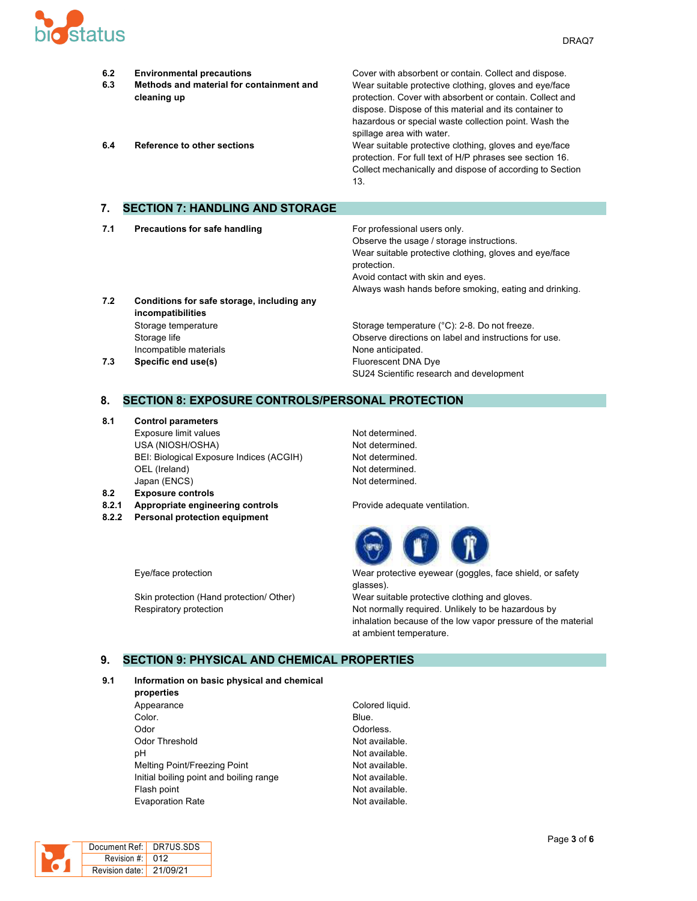

| 6.2<br>6.3<br>6.4 | <b>Environmental precautions</b><br>Methods and material for containment and<br>cleaning up<br><b>Reference to other sections</b> | Cover with absorbent or contain. Collect and dispose.<br>Wear suitable protective clothing, gloves and eye/face<br>protection. Cover with absorbent or contain. Collect and<br>dispose. Dispose of this material and its container to<br>hazardous or special waste collection point. Wash the<br>spillage area with water.<br>Wear suitable protective clothing, gloves and eye/face<br>protection. For full text of H/P phrases see section 16.<br>Collect mechanically and dispose of according to Section<br>13. |
|-------------------|-----------------------------------------------------------------------------------------------------------------------------------|----------------------------------------------------------------------------------------------------------------------------------------------------------------------------------------------------------------------------------------------------------------------------------------------------------------------------------------------------------------------------------------------------------------------------------------------------------------------------------------------------------------------|
| 7.                | <b>SECTION 7: HANDLING AND STORAGE</b>                                                                                            |                                                                                                                                                                                                                                                                                                                                                                                                                                                                                                                      |
| 7.1               | <b>Precautions for safe handling</b>                                                                                              | For professional users only.<br>Observe the usage / storage instructions.<br>Wear suitable protective clothing, gloves and eye/face<br>protection.<br>Avoid contact with skin and eyes.<br>Always wash hands before smoking, eating and drinking.                                                                                                                                                                                                                                                                    |

**7.2 Conditions for safe storage, including any incompatibilities** Storage temperature Storage temperature Storage temperature (°C): 2-8. Do not freeze. Storage life Observe directions on label and instructions for use. Incompatible materials **None anticipated**. **7.3 Specific end use(s) Eluorescent DNA Dye** 

# SU24 Scientific research and development

#### **8. SECTION 8: EXPOSURE CONTROLS/PERSONAL PROTECTION**

**8.1 Control parameters**

Exposure limit values Not determined. USA (NIOSH/OSHA) Not determined. BEI: Biological Exposure Indices (ACGIH) Not determined. OEL (Ireland) Not determined. Japan (ENCS) Not determined.

- **8.2 Exposure controls**
- **8.2.1 Appropriate engineering controls** Provide adequate ventilation.
- **8.2.2 Personal protection equipment**



Eye/face protection Wear protective eyewear (goggles, face shield, or safety glasses).

Respiratory protection **Not normally required.** Unlikely to be hazardous by inhalation because of the low vapor pressure of the material at ambient temperature.

Skin protection (Hand protection/ Other) Wear suitable protective clothing and gloves.

#### **9. SECTION 9: PHYSICAL AND CHEMICAL PROPERTIES**

#### **9.1 Information on basic physical and chemical**

- **properties** Appearance Colored liquid. **Color.** Blue. Odor **Odorless**. Odor Threshold **Not available**. pH Not available. Melting Point/Freezing Point Not available. Initial boiling point and boiling range Not available. Flash point **Not available.** Evaporation Rate **Not available**.
	-

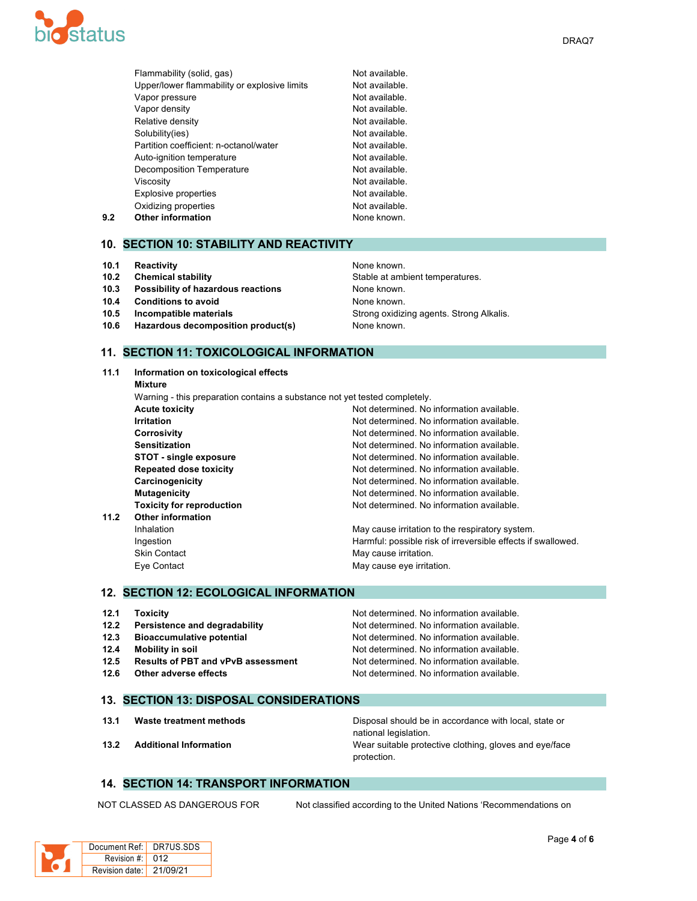

|     | Flammability (solid, gas)                    | Not available. |
|-----|----------------------------------------------|----------------|
|     | Upper/lower flammability or explosive limits | Not available. |
|     | Vapor pressure                               | Not available. |
|     | Vapor density                                | Not available. |
|     | Relative density                             | Not available. |
|     | Solubility(ies)                              | Not available. |
|     | Partition coefficient: n-octanol/water       | Not available. |
|     | Auto-ignition temperature                    | Not available. |
|     | Decomposition Temperature                    | Not available. |
|     | Viscosity                                    | Not available. |
|     | Explosive properties                         | Not available. |
|     | Oxidizing properties                         | Not available. |
| 9.2 | <b>Other information</b>                     | None known.    |

#### **10. SECTION 10: STABILITY AND REACTIVITY**

- **10.1 Reactivity None known.** None known.
- 
- **10.3 Possibility of hazardous reactions** None known.
- **10.4 Conditions to avoid None known.**
- 
- **10.6 Hazardous decomposition product(s)** None known.

# **10.2 Chemical stability 10.2 Chemical stability** Stable at ambient temperatures. **10.5 Incompatible materials 10.5 Incompatible materials** Strong **Strong oxidizing agents. Strong Alkalis.**

#### **11. SECTION 11: TOXICOLOGICAL INFORMATION**

| 11.1 | Information on toxicological effects                                       |                                                              |
|------|----------------------------------------------------------------------------|--------------------------------------------------------------|
|      | Mixture                                                                    |                                                              |
|      | Warning - this preparation contains a substance not yet tested completely. |                                                              |
|      | <b>Acute toxicity</b>                                                      | Not determined. No information available.                    |
|      | <b>Irritation</b>                                                          | Not determined. No information available.                    |
|      | <b>Corrosivity</b>                                                         | Not determined. No information available.                    |
|      | <b>Sensitization</b>                                                       | Not determined. No information available.                    |
|      | STOT - single exposure                                                     | Not determined. No information available.                    |
|      | <b>Repeated dose toxicity</b>                                              | Not determined. No information available.                    |
|      | Carcinogenicity                                                            | Not determined. No information available.                    |
|      | <b>Mutagenicity</b>                                                        | Not determined. No information available.                    |
|      | <b>Toxicity for reproduction</b>                                           | Not determined. No information available.                    |
| 11.2 | <b>Other information</b>                                                   |                                                              |
|      | Inhalation                                                                 | May cause irritation to the respiratory system.              |
|      | Ingestion                                                                  | Harmful: possible risk of irreversible effects if swallowed. |
|      | <b>Skin Contact</b>                                                        | May cause irritation.                                        |
|      | Eye Contact                                                                | May cause eye irritation.                                    |

#### **12. SECTION 12: ECOLOGICAL INFORMATION**

| 12.1 | <b>Toxicity</b>                           | Not determined. No information available. |
|------|-------------------------------------------|-------------------------------------------|
| 12.2 | Persistence and degradability             | Not determined. No information available. |
| 12.3 | <b>Bioaccumulative potential</b>          | Not determined. No information available. |
| 12.4 | Mobility in soil                          | Not determined. No information available. |
| 12.5 | <b>Results of PBT and vPvB assessment</b> | Not determined. No information available. |
| 12.6 | Other adverse effects                     | Not determined. No information available. |

#### **13. SECTION 13: DISPOSAL CONSIDERATIONS**

**13.1 Waste treatment methods** Disposal should be in accordance with local, state or national legislation. **13.2 Additional Information** Wear suitable protective clothing, gloves and eye/face protection.

## **14. SECTION 14: TRANSPORT INFORMATION**

NOT CLASSED AS DANGEROUS FOR Not classified according to the United Nations 'Recommendations on

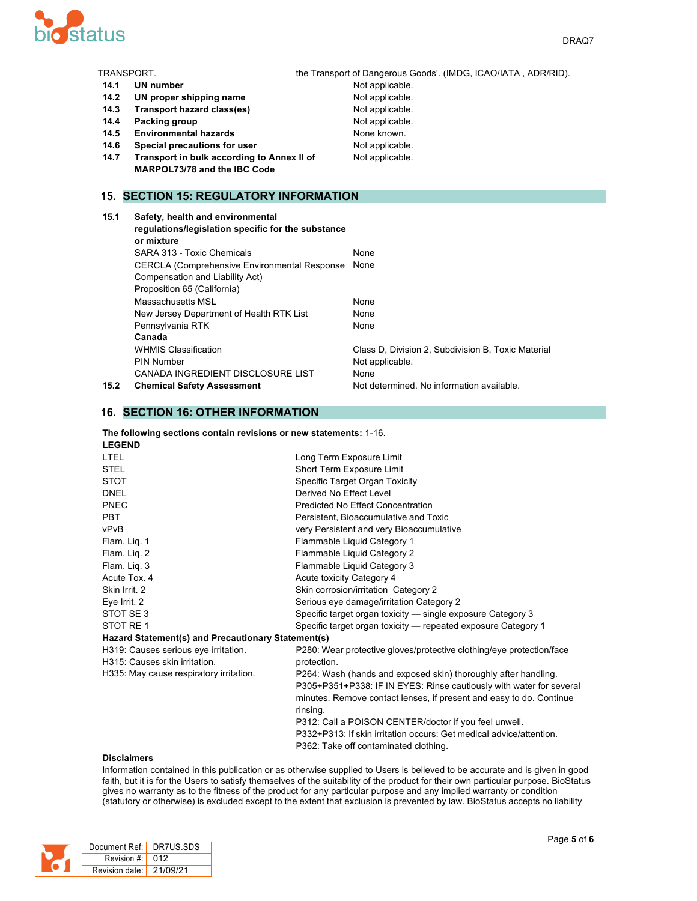

| TRANSPORT. |                                                                                                      | the Transport of Dangerous Goods'. (IMDG, ICAO/IATA, ADR/RID). |
|------------|------------------------------------------------------------------------------------------------------|----------------------------------------------------------------|
| 14.1       | <b>UN number</b>                                                                                     | Not applicable.                                                |
| 14.2       | UN proper shipping name                                                                              | Not applicable.                                                |
| 14.3       | Transport hazard class(es)                                                                           | Not applicable.                                                |
| 14.4       | Packing group                                                                                        | Not applicable.                                                |
| 14.5       | <b>Environmental hazards</b>                                                                         | None known.                                                    |
| 14.6       | Special precautions for user                                                                         | Not applicable.                                                |
| 14.7       | Transport in bulk according to Annex II of                                                           | Not applicable.                                                |
|            | <b>MARPOL73/78 and the IBC Code</b>                                                                  |                                                                |
|            |                                                                                                      |                                                                |
|            | <b>15. SECTION 15: REGULATORY INFORMATION</b>                                                        |                                                                |
| 15.1       | Safety, health and environmental<br>regulations/legislation specific for the substance<br>or mixture |                                                                |
|            | SARA 313 - Toxic Chemicals                                                                           | None                                                           |
|            | <b>CERCLA (Comprehensive Environmental Response</b><br>Compensation and Liability Act)               | None                                                           |
|            | Proposition 65 (California)                                                                          |                                                                |
|            | Massachusetts MSL                                                                                    | None                                                           |
|            | New Jersey Department of Health RTK List                                                             | None                                                           |
|            | Pennsylvania RTK                                                                                     | None                                                           |

| .    | <b>Dalety, liealth and environmental</b>             |                                                    |
|------|------------------------------------------------------|----------------------------------------------------|
|      | regulations/legislation specific for the substance   |                                                    |
|      | or mixture                                           |                                                    |
|      | SARA 313 - Toxic Chemicals                           | None                                               |
|      | <b>CERCLA (Comprehensive Environmental Response)</b> | None                                               |
|      | Compensation and Liability Act)                      |                                                    |
|      | Proposition 65 (California)                          |                                                    |
|      | Massachusetts MSL                                    | None                                               |
|      | New Jersey Department of Health RTK List             | None                                               |
|      | Pennsylvania RTK                                     | None                                               |
|      | Canada                                               |                                                    |
|      | <b>WHMIS Classification</b>                          | Class D, Division 2, Subdivision B, Toxic Material |
|      | PIN Number                                           | Not applicable.                                    |
|      | CANADA INGREDIENT DISCLOSURE LIST                    | None                                               |
| 15.2 | <b>Chemical Safety Assessment</b>                    | Not determined. No information available.          |
|      |                                                      |                                                    |

## **16. SECTION 16: OTHER INFORMATION**

| The following sections contain revisions or new statements: 1-16. |  |
|-------------------------------------------------------------------|--|
| .                                                                 |  |

| Long Term Exposure Limit                                             |
|----------------------------------------------------------------------|
| Short Term Exposure Limit                                            |
| Specific Target Organ Toxicity                                       |
| Derived No Effect Level                                              |
| Predicted No Effect Concentration                                    |
| Persistent, Bioaccumulative and Toxic                                |
| very Persistent and very Bioaccumulative                             |
| Flammable Liquid Category 1                                          |
| Flammable Liquid Category 2                                          |
| Flammable Liquid Category 3                                          |
| Acute toxicity Category 4                                            |
| Skin corrosion/irritation Category 2                                 |
| Serious eye damage/irritation Category 2                             |
| Specific target organ toxicity — single exposure Category 3          |
| Specific target organ toxicity — repeated exposure Category 1        |
| Hazard Statement(s) and Precautionary Statement(s)                   |
| P280: Wear protective gloves/protective clothing/eye protection/face |
| protection.                                                          |
| P264: Wash (hands and exposed skin) thoroughly after handling.       |
| P305+P351+P338: IF IN EYES: Rinse cautiously with water for several  |
| minutes. Remove contact lenses, if present and easy to do. Continue  |
| rinsing.                                                             |
| P312: Call a POISON CENTER/doctor if you feel unwell.                |
| P332+P313: If skin irritation occurs: Get medical advice/attention.  |
| P362: Take off contaminated clothing.                                |
|                                                                      |

#### **Disclaimers**

Information contained in this publication or as otherwise supplied to Users is believed to be accurate and is given in good faith, but it is for the Users to satisfy themselves of the suitability of the product for their own particular purpose. BioStatus gives no warranty as to the fitness of the product for any particular purpose and any implied warranty or condition (statutory or otherwise) is excluded except to the extent that exclusion is prevented by law. BioStatus accepts no liability